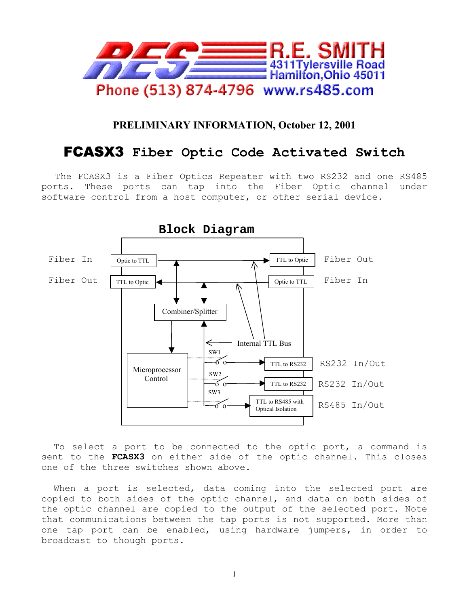

## **PRELIMINARY INFORMATION, October 12, 2001**

## FCASX3 **Fiber Optic Code Activated Switch**

The FCASX3 is a Fiber Optics Repeater with two RS232 and one RS485 ports. These ports can tap into the Fiber Optic channel under software control from a host computer, or other serial device.



To select a port to be connected to the optic port, a command is sent to the **FCASX3** on either side of the optic channel. This closes one of the three switches shown above.

When a port is selected, data coming into the selected port are copied to both sides of the optic channel, and data on both sides of the optic channel are copied to the output of the selected port. Note that communications between the tap ports is not supported. More than one tap port can be enabled, using hardware jumpers, in order to broadcast to though ports.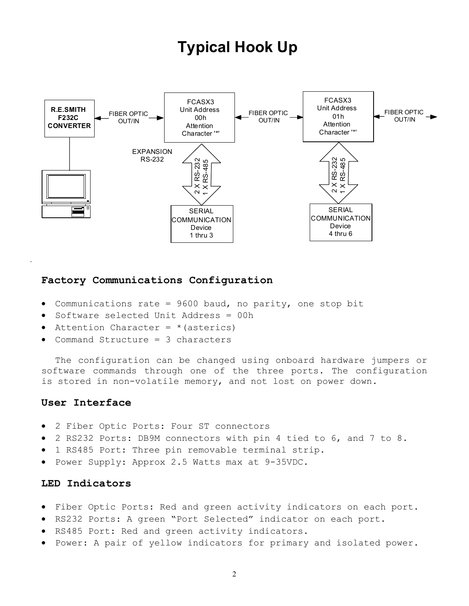# **Typical Hook Up**



## **Factory Communications Configuration**

- Communications rate = 9600 baud, no parity, one stop bit
- Software selected Unit Address = 00h
- Attention Character =  $*(asterics)$
- Command Structure = 3 characters

The configuration can be changed using onboard hardware jumpers or software commands through one of the three ports. The configuration is stored in non-volatile memory, and not lost on power down.

#### **User Interface**

- 2 Fiber Optic Ports: Four ST connectors
- 2 RS232 Ports: DB9M connectors with pin 4 tied to 6, and 7 to 8.
- 1 RS485 Port: Three pin removable terminal strip.
- Power Supply: Approx 2.5 Watts max at 9-35VDC.

#### **LED Indicators**

- Fiber Optic Ports: Red and green activity indicators on each port.
- RS232 Ports: A green "Port Selected" indicator on each port.
- RS485 Port: Red and green activity indicators.
- Power: A pair of yellow indicators for primary and isolated power.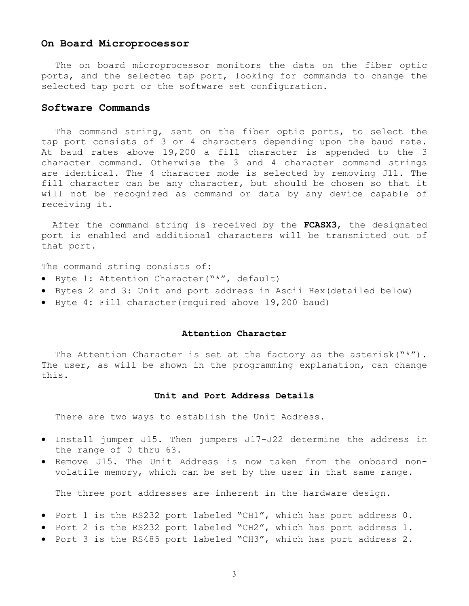#### **On Board Microprocessor**

The on board microprocessor monitors the data on the fiber optic ports, and the selected tap port, looking for commands to change the selected tap port or the software set configuration.

#### **Software Commands**

The command string, sent on the fiber optic ports, to select the tap port consists of 3 or 4 characters depending upon the baud rate. At baud rates above 19,200 a fill character is appended to the 3 character command. Otherwise the 3 and 4 character command strings are identical. The 4 character mode is selected by removing J11. The fill character can be any character, but should be chosen so that it will not be recognized as command or data by any device capable of receiving it.

After the command string is received by the **FCASX3**, the designated port is enabled and additional characters will be transmitted out of that port.

The command string consists of:

- Byte 1: Attention Character("\*", default)
- Bytes 2 and 3: Unit and port address in Ascii Hex(detailed below)
- Byte 4: Fill character(required above 19,200 baud)

#### **Attention Character**

The Attention Character is set at the factory as the asterisk("\*"). The user, as will be shown in the programming explanation, can change this.

#### **Unit and Port Address Details**

There are two ways to establish the Unit Address.

- Install jumper J15. Then jumpers J17-J22 determine the address in the range of 0 thru 63.
- Remove J15. The Unit Address is now taken from the onboard nonvolatile memory, which can be set by the user in that same range.

The three port addresses are inherent in the hardware design.

- Port 1 is the RS232 port labeled "CH1", which has port address 0.
- Port 2 is the RS232 port labeled "CH2", which has port address 1.
- Port 3 is the RS485 port labeled "CH3", which has port address 2.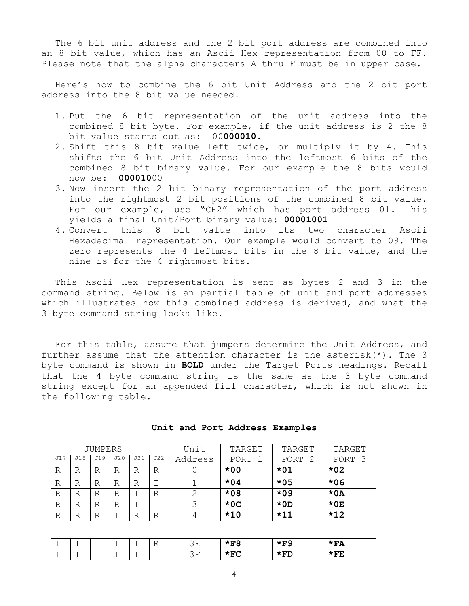The 6 bit unit address and the 2 bit port address are combined into an 8 bit value, which has an Ascii Hex representation from 00 to FF. Please note that the alpha characters A thru F must be in upper case.

Here's how to combine the 6 bit Unit Address and the 2 bit port address into the 8 bit value needed.

- 1. Put the 6 bit representation of the unit address into the combined 8 bit byte. For example, if the unit address is 2 the 8 bit value starts out as: 00**000010**.
- 2. Shift this 8 bit value left twice, or multiply it by 4. This shifts the 6 bit Unit Address into the leftmost 6 bits of the combined 8 bit binary value. For our example the 8 bits would now be: **000010**00
- 3. Now insert the 2 bit binary representation of the port address into the rightmost 2 bit positions of the combined 8 bit value. For our example, use "CH2" which has port address 01. This yields a final Unit/Port binary value: **00001001**
- 4. Convert this 8 bit value into its two character Ascii Hexadecimal representation. Our example would convert to 09. The zero represents the 4 leftmost bits in the 8 bit value, and the nine is for the 4 rightmost bits.

This Ascii Hex representation is sent as bytes 2 and 3 in the command string. Below is an partial table of unit and port addresses which illustrates how this combined address is derived, and what the 3 byte command string looks like.

For this table, assume that jumpers determine the Unit Address, and further assume that the attention character is the asterisk( $*$ ). The 3 byte command is shown in **BOLD** under the Target Ports headings. Recall that the 4 byte command string is the same as the 3 byte command string except for an appended fill character, which is not shown in the following table.

| JUMPERS |     |     |     |     | Unit | TARGET  | TARGET     | TARGET    |            |
|---------|-----|-----|-----|-----|------|---------|------------|-----------|------------|
| J17     | J18 | J19 | J20 | J21 | J22  | Address | PORT<br>-1 | 2<br>PORT | -3<br>PORT |
| R       | R   | R   | R   | R   | R    |         | $*00$      | $*01$     | $*02$      |
| R       | R   | R   | R   | R   |      |         | $*04$      | $*05$     | $*06$      |
| R       | R   | R   | R   |     | R    | 2       | $*08$      | $*09$     | $*0A$      |
| R       | R   | R   | R   |     | Ι    | 3       | $*0C$      | $*$ OD    | $*0E$      |
| R       | R   | R   |     | R   | R    | 4       | $*10$      | $*11$     | $*12$      |
|         |     |     |     |     |      |         |            |           |            |
|         |     | Τ   |     |     | R    | 3E      | $*F8$      | $*$ F9    | $*FA$      |
|         |     |     |     |     |      | 3F      | $*_{FC}$   | $*FD$     | $*$ FE     |

**Unit and Port Address Examples**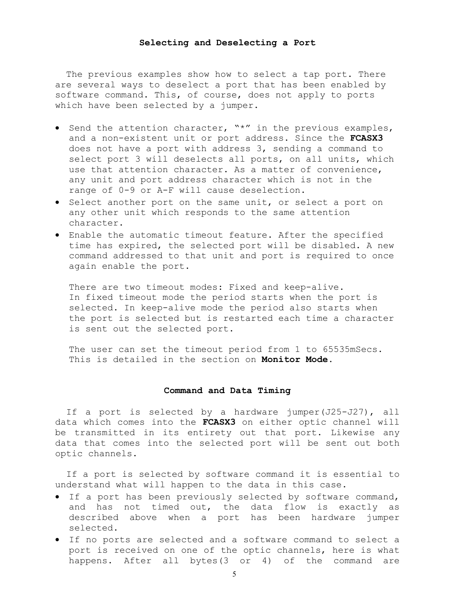#### **Selecting and Deselecting a Port**

The previous examples show how to select a tap port. There are several ways to deselect a port that has been enabled by software command. This, of course, does not apply to ports which have been selected by a jumper.

- Send the attention character, "\*" in the previous examples, and a non-existent unit or port address. Since the **FCASX3** does not have a port with address 3, sending a command to select port 3 will deselects all ports, on all units, which use that attention character. As a matter of convenience, any unit and port address character which is not in the range of 0-9 or A-F will cause deselection.
- Select another port on the same unit, or select a port on any other unit which responds to the same attention character.
- Enable the automatic timeout feature. After the specified time has expired, the selected port will be disabled. A new command addressed to that unit and port is required to once again enable the port.

There are two timeout modes: Fixed and keep-alive. In fixed timeout mode the period starts when the port is selected. In keep-alive mode the period also starts when the port is selected but is restarted each time a character is sent out the selected port.

The user can set the timeout period from 1 to 65535mSecs. This is detailed in the section on **Monitor Mode**.

#### **Command and Data Timing**

If a port is selected by a hardware jumper(J25-J27), all data which comes into the **FCASX3** on either optic channel will be transmitted in its entirety out that port. Likewise any data that comes into the selected port will be sent out both optic channels.

If a port is selected by software command it is essential to understand what will happen to the data in this case.

- If a port has been previously selected by software command, and has not timed out, the data flow is exactly as described above when a port has been hardware jumper selected.
- If no ports are selected and a software command to select a port is received on one of the optic channels, here is what happens. After all bytes(3 or 4) of the command are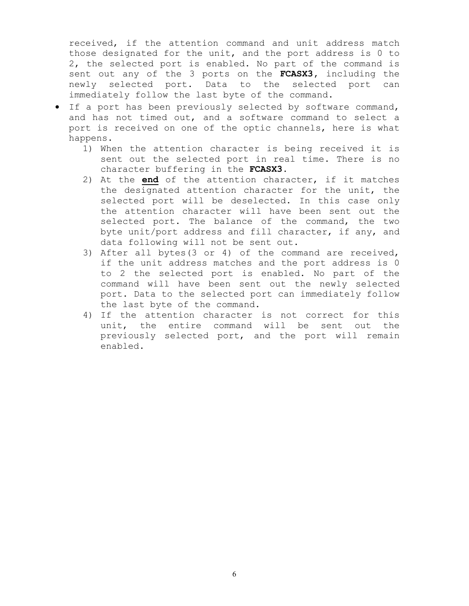received, if the attention command and unit address match those designated for the unit, and the port address is 0 to 2, the selected port is enabled. No part of the command is sent out any of the 3 ports on the **FCASX3,** including the newly selected port**.** Data to the selected port can immediately follow the last byte of the command.

- If a port has been previously selected by software command, and has not timed out, and a software command to select a port is received on one of the optic channels, here is what happens.
	- 1) When the attention character is being received it is sent out the selected port in real time. There is no character buffering in the **FCASX3.**
	- 2) At the **end** of the attention character, if it matches the designated attention character for the unit, the selected port will be deselected. In this case only the attention character will have been sent out the selected port. The balance of the command, the two byte unit/port address and fill character, if any, and data following will not be sent out.
	- 3) After all bytes(3 or 4) of the command are received, if the unit address matches and the port address is 0 to 2 the selected port is enabled. No part of the command will have been sent out the newly selected port. Data to the selected port can immediately follow the last byte of the command.
	- 4) If the attention character is not correct for this unit, the entire command will be sent out the previously selected port, and the port will remain enabled.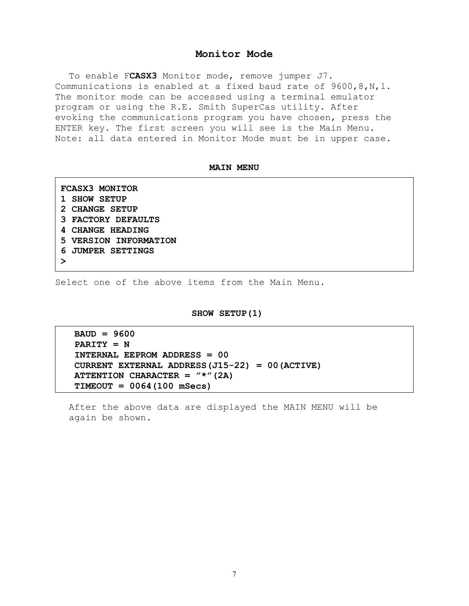#### **Monitor Mode**

To enable F**CASX3** Monitor mode, remove jumper J7. Communications is enabled at a fixed baud rate of 9600,8,N,1. The monitor mode can be accessed using a terminal emulator program or using the R.E. Smith SuperCas utility. After evoking the communications program you have chosen, press the ENTER key. The first screen you will see is the Main Menu. Note: all data entered in Monitor Mode must be in upper case.

#### **MAIN MENU**

| <b>FCASX3 MONITOR</b>   |  |  |  |  |  |
|-------------------------|--|--|--|--|--|
| 1 SHOW SETUP            |  |  |  |  |  |
| 2 CHANGE SETUP          |  |  |  |  |  |
| 3 FACTORY DEFAULTS      |  |  |  |  |  |
| <b>4 CHANGE HEADING</b> |  |  |  |  |  |
| 5 VERSION INFORMATION   |  |  |  |  |  |
| 6 JUMPER SETTINGS       |  |  |  |  |  |
|                         |  |  |  |  |  |

Select one of the above items from the Main Menu.

#### **SHOW SETUP(1)**

**BAUD = 9600 PARITY = N INTERNAL EEPROM ADDRESS = 00 CURRENT EXTERNAL ADDRESS(J15-22) = 00(ACTIVE) ATTENTION CHARACTER = "\*"(2A) TIMEOUT = 0064(100 mSecs)** 

After the above data are displayed the MAIN MENU will be again be shown.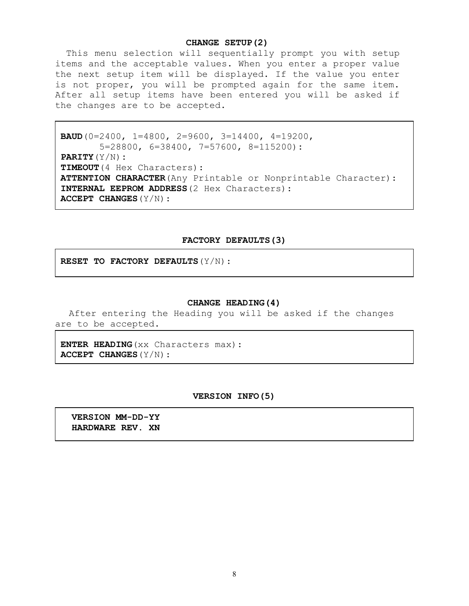#### **CHANGE SETUP(2)**

This menu selection will sequentially prompt you with setup items and the acceptable values. When you enter a proper value the next setup item will be displayed. If the value you enter is not proper, you will be prompted again for the same item. After all setup items have been entered you will be asked if the changes are to be accepted.

```
 BAUD(0=2400, 1=4800, 2=9600, 3=14400, 4=19200, 
        5=28800, 6=38400, 7=57600, 8=115200): 
PARITY(Y/N): 
TIMEOUT(4 Hex Characters): 
 ATTENTION CHARACTER(Any Printable or Nonprintable Character): 
 INTERNAL EEPROM ADDRESS(2 Hex Characters): 
 ACCEPT CHANGES(Y/N):
```
#### **FACTORY DEFAULTS(3)**

 **RESET TO FACTORY DEFAULTS**(Y/N):

#### **CHANGE HEADING(4)**

After entering the Heading you will be asked if the changes are to be accepted.

**ENTER HEADING**(xx Characters max): **ACCEPT CHANGES**(Y/N):

#### **VERSION INFO(5)**

 **VERSION MM-DD-YY HARDWARE REV. XN**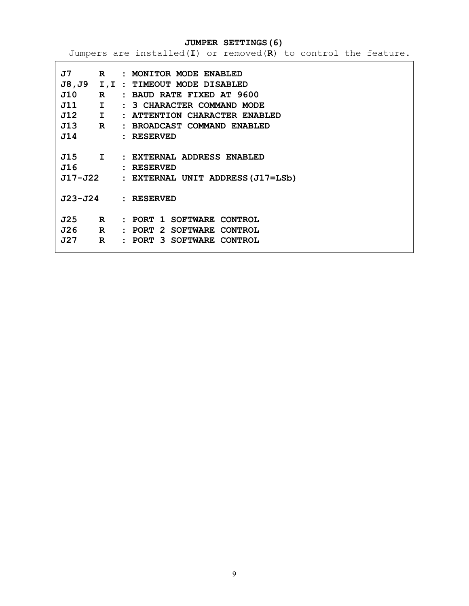**JUMPER SETTINGS(6)** 

Jumpers are installed(**I**) or removed(**R**) to control the feature.

| $J7$ R                         |              | : MONITOR MODE ENABLED                   |
|--------------------------------|--------------|------------------------------------------|
|                                |              | J8, J9 I, I : TIMEOUT MODE DISABLED      |
| J10<br>$\mathbb{R}$            |              | : BAUD RATE FIXED AT 9600                |
| $J11$ I                        |              | : 3 CHARACTER COMMAND MODE               |
| $J12$ I                        |              | : ATTENTION CHARACTER ENABLED            |
| $J13$ R                        |              | : BROADCAST COMMAND ENABLED              |
| J14                            |              | : RESERVED                               |
|                                |              |                                          |
|                                |              | J15 I : EXTERNAL ADDRESS ENABLED         |
| J16                            |              | : RESERVED                               |
|                                |              | J17-J22 : EXTERNAL UNIT ADDRESS(J17=LSb) |
|                                |              |                                          |
|                                |              | J23-J24 : RESERVED                       |
|                                |              |                                          |
| $J25$ R                        |              | : PORT 1 SOFTWARE CONTROL                |
| J26<br>$\overline{\mathbf{R}}$ |              | : PORT 2 SOFTWARE CONTROL                |
| J27                            | $\mathbf{R}$ | : PORT 3 SOFTWARE CONTROL                |
|                                |              |                                          |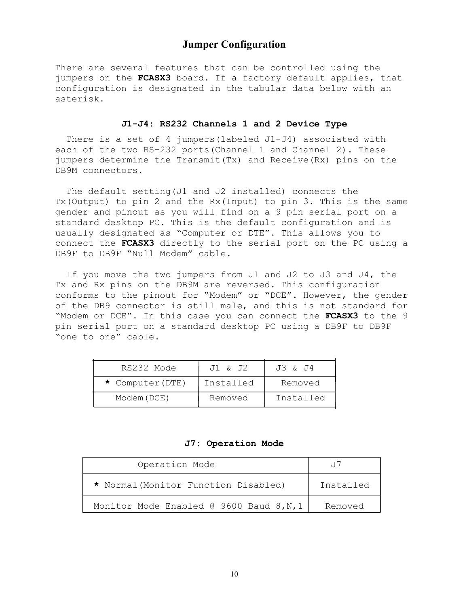## **Jumper Configuration**

There are several features that can be controlled using the jumpers on the **FCASX3** board. If a factory default applies, that configuration is designated in the tabular data below with an asterisk.

#### **J1-J4: RS232 Channels 1 and 2 Device Type**

There is a set of 4 jumpers (labeled J1-J4) associated with each of the two RS-232 ports(Channel 1 and Channel 2). These jumpers determine the Transmit(Tx) and Receive(Rx) pins on the DB9M connectors.

 The default setting(J1 and J2 installed) connects the Tx(Output) to pin 2 and the Rx(Input) to pin 3. This is the same gender and pinout as you will find on a 9 pin serial port on a standard desktop PC. This is the default configuration and is usually designated as "Computer or DTE". This allows you to connect the **FCASX3** directly to the serial port on the PC using a DB9F to DB9F "Null Modem" cable.

 If you move the two jumpers from J1 and J2 to J3 and J4, the Tx and Rx pins on the DB9M are reversed. This configuration conforms to the pinout for "Modem" or "DCE". However, the gender of the DB9 connector is still male, and this is not standard for "Modem or DCE". In this case you can connect the **FCASX3** to the 9 pin serial port on a standard desktop PC using a DB9F to DB9F "one to one" cable.

| RS232 Mode       | J1 & J2   | J3 & J4   |
|------------------|-----------|-----------|
| * Computer (DTE) | Installed | Removed   |
| Modem (DCE)      | Removed   | Installed |

**J7: Operation Mode** 

| Operation Mode                           |           |
|------------------------------------------|-----------|
| * Normal (Monitor Function Disabled)     | Installed |
| Monitor Mode Enabled @ 9600 Baud 8, N, 1 | Removed   |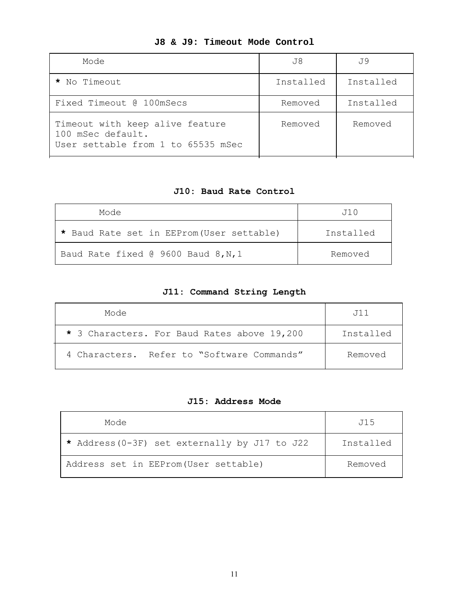| Mode                                                                                       | J8        | J 9       |
|--------------------------------------------------------------------------------------------|-----------|-----------|
| * No Timeout                                                                               | Installed | Installed |
| Fixed Timeout @ 100mSecs                                                                   | Removed   | Installed |
| Timeout with keep alive feature<br>100 mSec default.<br>User settable from 1 to 65535 mSec | Removed   | Removed   |

## **J8 & J9: Timeout Mode Control**

## **J10: Baud Rate Control**

| Mode                                      | .T1 0     |
|-------------------------------------------|-----------|
| * Baud Rate set in EEProm (User settable) | Installed |
| Baud Rate fixed @ 9600 Baud 8, N, 1       | Removed   |

## **J11: Command String Length**

| Mode                                        | .T11      |
|---------------------------------------------|-----------|
| * 3 Characters. For Baud Rates above 19,200 | Installed |
| 4 Characters. Refer to "Software Commands"  | Removed   |

## **J15: Address Mode**

| Mode                                          | J15       |
|-----------------------------------------------|-----------|
| * Address (0-3F) set externally by J17 to J22 | Installed |
| Address set in EEProm (User settable)         | Removed   |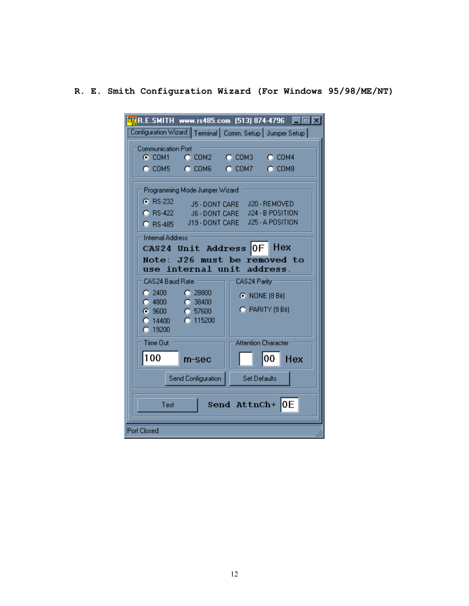## **R. E. Smith Configuration Wizard (For Windows 95/98/ME/NT)**

| <b>ERE</b> R.E.SMITH www.rs485.com (513) 874-4796                                                                                                                                                                                                                                                                              |                                  |                            | $\Box$ o $\boxtimes$              |  |  |  |  |
|--------------------------------------------------------------------------------------------------------------------------------------------------------------------------------------------------------------------------------------------------------------------------------------------------------------------------------|----------------------------------|----------------------------|-----------------------------------|--|--|--|--|
| Configuration Wizard   Terminal   Comm. Setup   Jumper Setup                                                                                                                                                                                                                                                                   |                                  |                            |                                   |  |  |  |  |
| <b>Communication Port</b>                                                                                                                                                                                                                                                                                                      |                                  |                            |                                   |  |  |  |  |
| $C$ COM1                                                                                                                                                                                                                                                                                                                       | C COM2                           | $C$ COM3                   | $C$ COM4                          |  |  |  |  |
| C COM5 C COM6                                                                                                                                                                                                                                                                                                                  |                                  | $C$ COM7                   | $C$ COM8                          |  |  |  |  |
| <b>6</b> RS-232                                                                                                                                                                                                                                                                                                                | Programming Mode Jumper Wizard   |                            |                                   |  |  |  |  |
| C RS-422                                                                                                                                                                                                                                                                                                                       | J5 - DONT CARE<br>J6 - DONT CARE |                            | J20 - REMOVED<br>J24 - B POSITION |  |  |  |  |
| $C$ BS-485                                                                                                                                                                                                                                                                                                                     | J19 - DONT CARE                  |                            | J25 - A POSITION                  |  |  |  |  |
| Internal Address<br>Hex<br>CAS24 Unit Address OF<br>J26 must be removed to<br>Note:<br>address.<br>use internal unit<br>: CAS24 Baud Rate :<br>CAS24 Parity<br>$C = 2400$<br>C.28800<br><b>C</b> NONE (8 Bit)<br>$C$ 4800<br>$\bigcirc$ 38400<br>C PARITY (9 Bit)<br>6.9600<br>C 57600<br>$C$ 115200<br>$O$ 14400<br>$C$ 19200 |                                  |                            |                                   |  |  |  |  |
| Time Out                                                                                                                                                                                                                                                                                                                       |                                  | <b>Attention Character</b> |                                   |  |  |  |  |
| 100                                                                                                                                                                                                                                                                                                                            | m-sec                            |                            | 00<br>Hex                         |  |  |  |  |
|                                                                                                                                                                                                                                                                                                                                | Send Configuration               | <b>Set Defaults</b>        |                                   |  |  |  |  |
| Send AttnCh+ OE<br>Test                                                                                                                                                                                                                                                                                                        |                                  |                            |                                   |  |  |  |  |
| <b>Port Closed</b>                                                                                                                                                                                                                                                                                                             |                                  |                            |                                   |  |  |  |  |